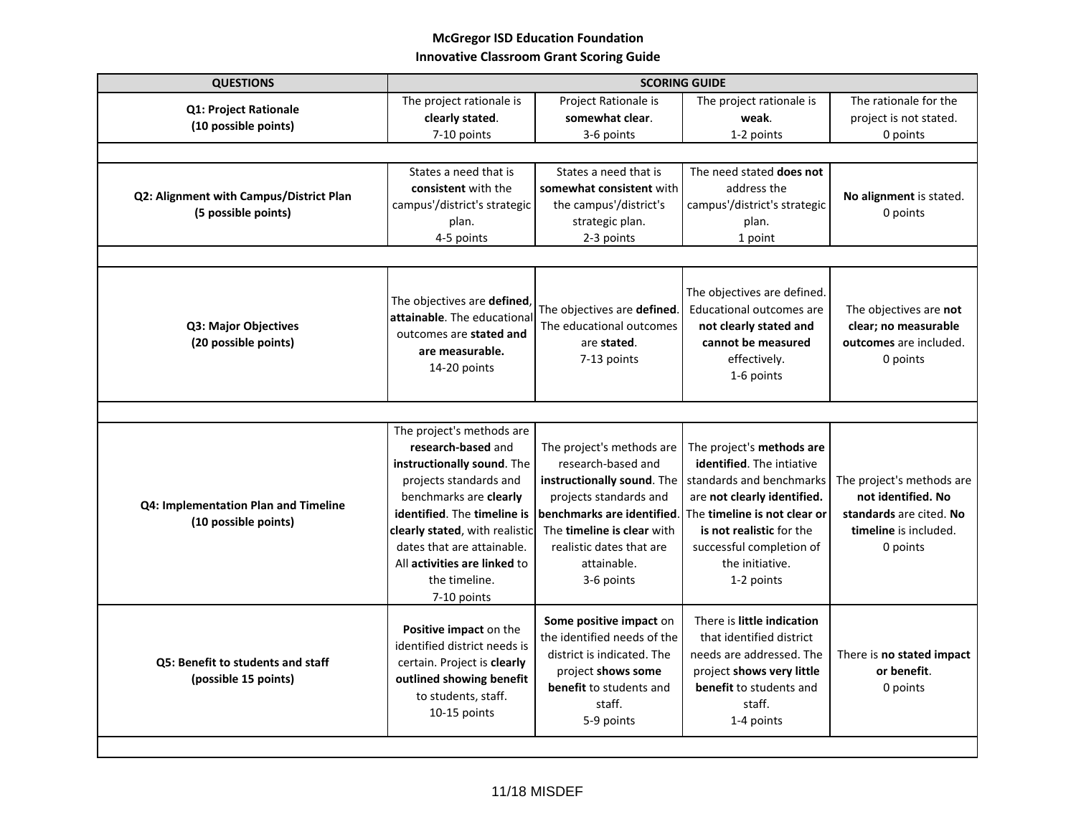## **McGregor ISD Education Foundation Innovative Classroom Grant Scoring Guide**

| <b>QUESTIONS</b>                                               | <b>SCORING GUIDE</b>                                                                                                                                                                                                                                                                             |                                                                                                                                                                                                                              |                                                                                                                                                                                                                                                   |                                                                                                                 |  |  |
|----------------------------------------------------------------|--------------------------------------------------------------------------------------------------------------------------------------------------------------------------------------------------------------------------------------------------------------------------------------------------|------------------------------------------------------------------------------------------------------------------------------------------------------------------------------------------------------------------------------|---------------------------------------------------------------------------------------------------------------------------------------------------------------------------------------------------------------------------------------------------|-----------------------------------------------------------------------------------------------------------------|--|--|
| <b>Q1: Project Rationale</b><br>(10 possible points)           | The project rationale is<br>clearly stated.<br>7-10 points                                                                                                                                                                                                                                       | Project Rationale is<br>somewhat clear.<br>3-6 points                                                                                                                                                                        | The project rationale is<br>weak.<br>1-2 points                                                                                                                                                                                                   | The rationale for the<br>project is not stated.<br>0 points                                                     |  |  |
|                                                                |                                                                                                                                                                                                                                                                                                  |                                                                                                                                                                                                                              |                                                                                                                                                                                                                                                   |                                                                                                                 |  |  |
| Q2: Alignment with Campus/District Plan<br>(5 possible points) | States a need that is<br>consistent with the<br>campus'/district's strategic<br>plan.<br>4-5 points                                                                                                                                                                                              | States a need that is<br>somewhat consistent with<br>the campus'/district's<br>strategic plan.<br>2-3 points                                                                                                                 | The need stated does not<br>address the<br>campus'/district's strategic<br>plan.<br>1 point                                                                                                                                                       | No alignment is stated.<br>0 points                                                                             |  |  |
| Q3: Major Objectives<br>(20 possible points)                   | The objectives are defined<br>attainable. The educational<br>outcomes are stated and<br>are measurable.<br>14-20 points                                                                                                                                                                          | The objectives are defined.<br>The educational outcomes<br>are stated.<br>7-13 points                                                                                                                                        | The objectives are defined.<br><b>Educational outcomes are</b><br>not clearly stated and<br>cannot be measured<br>effectively.<br>1-6 points                                                                                                      | The objectives are not<br>clear; no measurable<br>outcomes are included.<br>0 points                            |  |  |
|                                                                |                                                                                                                                                                                                                                                                                                  |                                                                                                                                                                                                                              |                                                                                                                                                                                                                                                   |                                                                                                                 |  |  |
| Q4: Implementation Plan and Timeline<br>(10 possible points)   | The project's methods are<br>research-based and<br>instructionally sound. The<br>projects standards and<br>benchmarks are clearly<br>identified. The timeline is<br>clearly stated, with realistic<br>dates that are attainable.<br>All activities are linked to<br>the timeline.<br>7-10 points | The project's methods are<br>research-based and<br>instructionally sound. The<br>projects standards and<br>benchmarks are identified.<br>The timeline is clear with<br>realistic dates that are<br>attainable.<br>3-6 points | The project's methods are<br><b>identified.</b> The intiative<br>standards and benchmarks<br>are not clearly identified.<br>The timeline is not clear or<br>is not realistic for the<br>successful completion of<br>the initiative.<br>1-2 points | The project's methods are<br>not identified. No<br>standards are cited. No<br>timeline is included.<br>0 points |  |  |
| Q5: Benefit to students and staff<br>(possible 15 points)      | Positive impact on the<br>identified district needs is<br>certain. Project is clearly<br>outlined showing benefit<br>to students, staff.<br>10-15 points                                                                                                                                         | Some positive impact on<br>the identified needs of the<br>district is indicated. The<br>project shows some<br>benefit to students and<br>staff.<br>5-9 points                                                                | There is little indication<br>that identified district<br>needs are addressed. The<br>project shows very little<br>benefit to students and<br>staff.<br>1-4 points                                                                                | There is no stated impact<br>or benefit.<br>0 points                                                            |  |  |